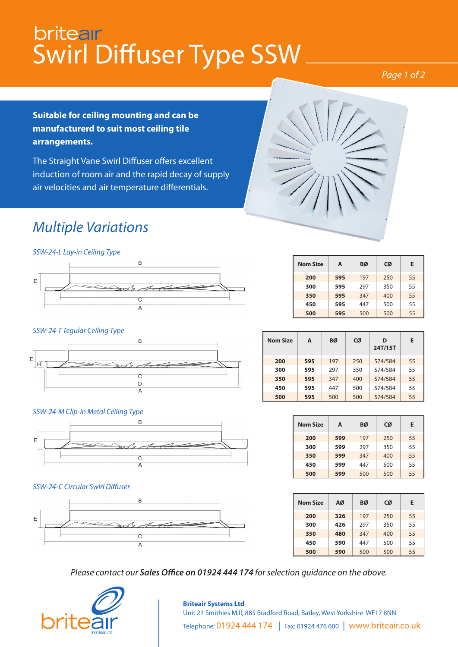## britear Swirl Diffuser Type SSW

#### *Page 1 of 2*

**Suitable for ceiling mounting and can be manufacturerd to suit most ceiling tile arrangements.**

The Straight Vane Swirl Diffuser offers excellent induction of room air and the rapid decay of supply air velocities and air temperature differentials.

## *Multiple Variations*

*SSW-24-L Lay-in Ceiling Type*



#### *SSW-24-T Tegular Ceiling Type*



#### *SSW-24-M Clip-in Metal Ceiling Type*



#### *SSW-24-C Circular Swirl Diffuser*



| <b>Nom Size</b> | А   | ВØ  | CØ  | Е  |
|-----------------|-----|-----|-----|----|
| 200             | 595 | 197 | 250 | 55 |
| 300             | 595 | 297 | 350 | 55 |
| 350             | 595 | 347 | 400 | 55 |
| 450             | 595 | 447 | 500 | 55 |
| 500             | 595 | 500 | 500 | 55 |

| <b>Nom Size</b> | A   | BØ  | CØ  | D<br>24T/15T | Е  |
|-----------------|-----|-----|-----|--------------|----|
| 200             | 595 | 197 | 250 | 574/584      | 55 |
| 300             | 595 | 297 | 350 | 574/584      | 55 |
| 350             | 595 | 347 | 400 | 574/584      | 55 |
| 450             | 595 | 447 | 500 | 574/584      | 55 |
| 500             | 595 | 500 | 500 | 574/584      | 55 |

| <b>Nom Size</b> | A   | BØ  | CØ  | Е  |
|-----------------|-----|-----|-----|----|
| 200             | 599 | 197 | 250 | 55 |
| 300             | 599 | 297 | 350 | 55 |
| 350             | 599 | 347 | 400 | 55 |
| 450             | 599 | 447 | 500 | 55 |
| 500             | 599 | 500 | 500 | 55 |

| <b>Nom Size</b> | AØ  | ВØ  | CØ  | Е  |
|-----------------|-----|-----|-----|----|
| 200             | 326 | 197 | 250 | 55 |
| 300             | 426 | 297 | 350 |    |
| 350             | 480 | 347 | 400 | 55 |
| 450             | 590 | 447 | 500 | 55 |
| 500             | 590 | 500 | 500 | 55 |

*Please contact our Sales Office on 01924 444 174 for selection guidance on the above.*



#### **Briteair Systems Ltd** Unit 21 Smithies Mill, 885 Bradford Road, Batley, West Yorkshire WF17 8NN Telephone: 01924 444 174 | Fax: 01924 476 600 | www.briteair.co.uk